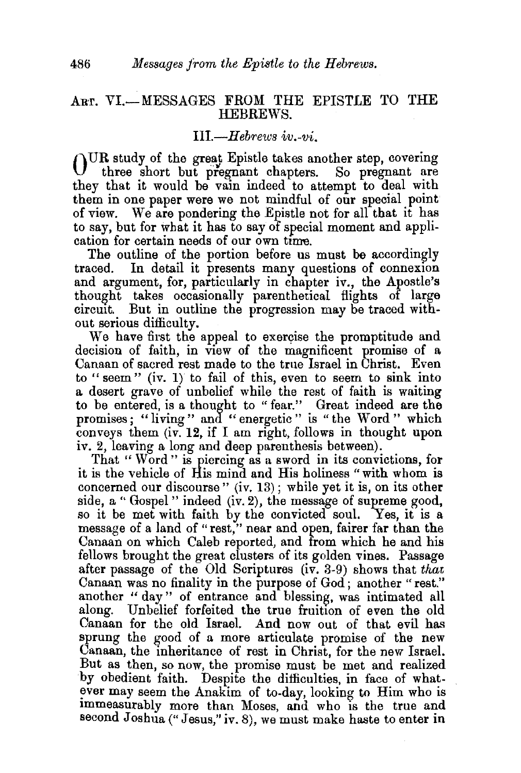## ART. VI.-MESSAGES FROM THE EPISTLE TO THE HEBREWS.

## *Ill-Hebrews iv.-vi.*

OUR study of the great Epistle takes another step, covering three short but pregnant chapters. So pregnant are they that it would be vain indeed to attempt to deal with them in one paper were we not mindful of our special point of view. We are pondering the Epistle not for all that it has to say, but for what it has to say of special moment and application for certain needs of our own time.

The outline of the portion before us must be accordingly traced. In detail it presents many questions of connexion and argument, for, particularly in chapter iv., the Apostle's thought takes occasionally parenthetical flights of large circmt. But in outline the progression may be traced without serious difficulty.

We have first the appeal to exercise the promptitude and decision of faith, in view of the magnificent promise of a Canaan of sacred rest made to the true Israel in Christ. Even to "seem" (iv. 1) to fail of this, even to seem to sink into a desert grave of unbelief while the rest of faith is waiting to be entered, is a thought to "fear." Great indeed are the promises; "living" and "energetic" is "the Word" which conveys them (iv. 12, if I am right, follows in thought upon iv. 2, leaving a long and deep parenthesis between).

That " Word" is piercing as a sword in its convictions, for it is the vehicle of His mind and His holiness "with whom is concerned our discourse" (iv. 13) ; while yet it is, on its other side, a " Gospel" indeed  $(iv, 2)$ , the message of supreme good, so it be met with faith by the convicted soul. Yes, it is a message of a land of "rest," near and open, fairer far than the Canaan on which Caleb reported, and from which he and his fellows brought the great clusters of its golden vines. Passage after passage of the Old Scriptures (iv. 3-9) shows that *that*  Canaan was no finality in the purpose of God ; another " rest." another " day" of entrance and blessing, was intimated all along. Unbelief forfeited the true fruition of even the old Canaan for the old Israel. And now out of that evil has sprung the good of a more articulate promise of the new Canaan, the inheritance of rest in Christ, for the new Israel. But as then, so now, the promise must be met and realized by obedient faith. Despite the difficulties, in face of what ever may seem the Anakim of to-day, looking to Him who is immeasurably more than Moses, and who is the true and second Joshua ("Jesus," iv. 8), we must make haste to enter in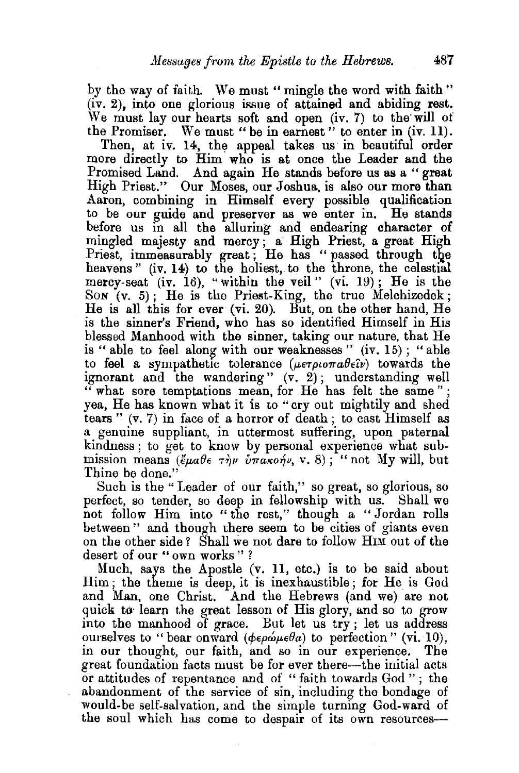by the way of faith. We must " mingle the word with faith " (iv. 2), into one glorious issue of attained and abiding rest. We must lay our hearts soft and open  $(iv, 7)$  to the will of the Promiser. We must "be in earnest" to enter in (iv. 11).

Then, at iv. 14, the appeal takes us in beautiful order more directly to Him who is at once the Leader and the Promised Land. And again He stands before us as a " great High Priest." Our Moses, our Joshua, is also our more than Aaron, combining in Himself every possible qualification to be our guide and preserver as we enter in. He stands before us in all the alluring and endearing character of mingled majesty and mercy; a High Priest, a great High Priest, immeasurably great; He has "passed through the heavens" (iv. 14) to the holiest, to the throne, the celestial mercy-seat (iv. 16), "within the veil" (vi. 19); He is the Son  $(v. 5)$ ; He is the Priest-King, the true Melchizedek; He is all this for ever (vi. 20). But, on the other hand, He is the sinner's Friend, who has so identified Himself in His blessed Manhood with the sinner, taking our nature, that He is " able to feel along with our weaknesses" (iv. 15); "able to feel a sympathetic tolerance  $(\mu \epsilon \tau \rho \iota \sigma \pi a \theta \epsilon \hat{\iota} \nu)$  towards the ignorant and the wandering"  $(v, 2)$ ; understanding well " what sore temptations mean, for He has felt the same " ; yea, He has known what it is to "cry out mightily and shed tears " $(v, 7)$  in face of a horror of death; to cast Himself as a genuine suppliant, in uttermost suffering, upon paternal kindness; to get to know by personal experience what submission means  $(\xi \mu a \theta \epsilon \tau \eta \nu \nu \pi a \kappa o \eta \nu, v. 8)$ ; "not My will, but Thine be done."

Such is the "Leader of our faith," so great, so glorious, so perfect, so tender, so deep in fellowship with us. Shall we not follow Him into " the rest," though a " Jordan rolls between" and though there seem to be cities of giants even on the other side *?* Shall 've not dare to follow HIM out of the desert of our " own works " ?

Much, says the Apostle  $(v. 11, etc.)$  is to be said about Him; the theme is deep, it is inexhaustible; for He is God and Man, one Christ. And the Hebrews (and we) are not quick to learn the great lesson of His glory, and so to grow into the manhood of grace. But let us try ; let us address ourselves to "bear onward ( $\phi \epsilon \rho \omega \mu \epsilon \theta a$ ) to perfection" (vi. 10), in our thought, our faith, and so in our experience. The great foundation facts must be for ever there-the initial acts or attitudes of repentance and of "faith towards God"; tbe abandonment of the service of sin, including the bondage of would-be self-salvation, and the simple turning God-ward of the soul which has come to despair of its own resources-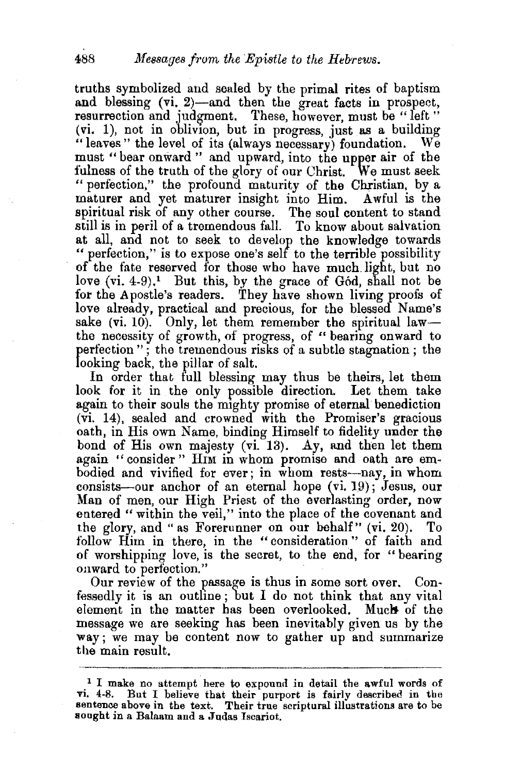truths symbolized and sealed by the primal rites of baptism and blessing (vi. 2)—and then the great facts in prospect, resurrection and judgment. These, however, must be "left" (vi. 1), not in oblivion, but in progress, just as a building "leaves" the level of its (always necessary) foundation. We must "bear onward " and upward, into the upper air of the fulness of the truth of the glory of our Christ. We must seek " perfection," the profound maturity of the Christian, by a maturer and yet maturer insight into Him. Awful is the spiritual risk of any other course. The soul content to stand still is in peril of a tremendous fall. To know about salvation at all, and not to seek to develop the knowledge towards "perfection," is to expose one's self to the terrible possibility of the fate reserved for those who have much. light, but no love  $(vi. 4-9)$ .<sup>1</sup> But this, by the grace of God, shall not be for the Apostle's readers. They have shown living proofs of love already, practical and precious, for the blessed Name's sake (vi. 10). Only, let them remember the spiritual lawthe necessity of growth, of progress, of " bearing onward to perfection "; the tremendous risks of a subtle stagnation; the looking back, the pillar of salt.

In order that full blessing may thus be theirs, let them look for it in the only possible direction. Let them take again to their souls the mighty promise of eternal benediction (vi. 14), sealed and crowned with the Promiser's gracious oath, in His own Name, binding Himself to fidelity under the bond of His own majesty (vi. 13). Ay, and then let them again " consider " Him in whom promise and oath are embodied and vivified for ever; in whom rests-nay, in whom consists--our anchor of an eternal hope (vi. 19); Jesus, our Man of men, our High Priest of the everlasting order, now entered " within the veil," into the place of the covenant and the glory, and "as Forerunner on our behalf" (vi. 20). To follow Him in there, in the "consideration" of faith and of worshipping love, is the secret, to the end, for "bearing onward to perfection."

Our review of the passage is thus in some sort over. Confessedly it is an outhne ; but I do not think that any vital element in the matter has been overlooked. Much of the message we are seeking has been inevitably given us by the way; we may be content now to gather up and summarize the main result.

<sup>&</sup>lt;sup>1</sup> I make no attempt here to expound in detail the awful words of vi. 4-8. But I believe that their purport is fairly described in the sentence above in the text. Their true scriptural illustrations are to be sought in a Balaam and a Judas Iscariot.